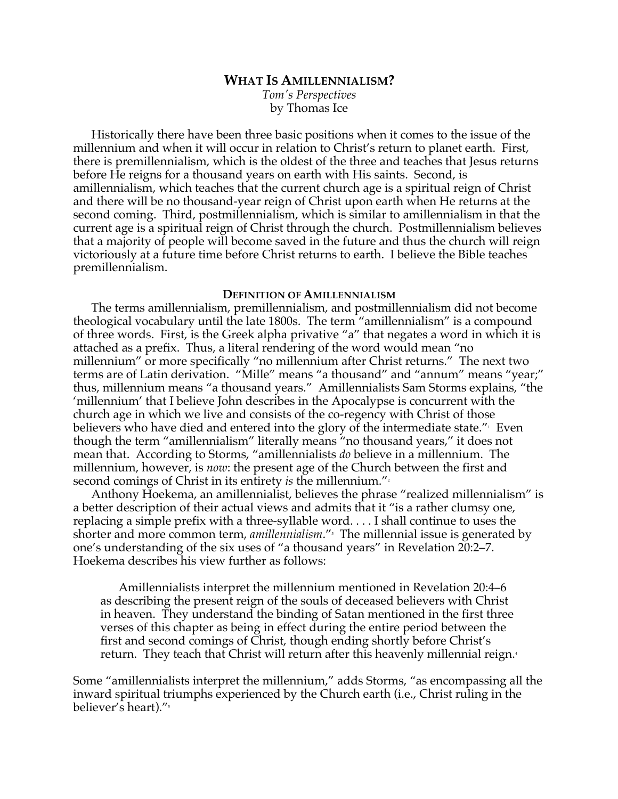# **WHAT IS AMILLENNIALISM?**

*Tom's Perspectives* by Thomas Ice

Historically there have been three basic positions when it comes to the issue of the millennium and when it will occur in relation to Christ's return to planet earth. First, there is premillennialism, which is the oldest of the three and teaches that Jesus returns before He reigns for a thousand years on earth with His saints. Second, is amillennialism, which teaches that the current church age is a spiritual reign of Christ and there will be no thousand-year reign of Christ upon earth when He returns at the second coming. Third, postmillennialism, which is similar to amillennialism in that the current age is a spiritual reign of Christ through the church. Postmillennialism believes that a majority of people will become saved in the future and thus the church will reign victoriously at a future time before Christ returns to earth. I believe the Bible teaches premillennialism.

## **DEFINITION OF AMILLENNIALISM**

The terms amillennialism, premillennialism, and postmillennialism did not become theological vocabulary until the late 1800s. The term "amillennialism" is a compound of three words. First, is the Greek alpha privative "a" that negates a word in which it is attached as a prefix. Thus, a literal rendering of the word would mean "no millennium" or more specifically "no millennium after Christ returns." The next two terms are of Latin derivation. "Mille" means "a thousand" and "annum" means "year;" thus, millennium means "a thousand years." Amillennialists Sam Storms explains, "the 'millennium' that I believe John describes in the Apocalypse is concurrent with the church age in which we live and consists of the co-regency with Christ of those believers who have died and entered into the glory of the intermediate state. $^{\prime\prime}{}_{\cdot}$  Even though the term "amillennialism" literally means "no thousand years," it does not mean that. According to Storms, "amillennialists *do* believe in a millennium. The millennium, however, is *now*: the present age of the Church between the first and second comings of Christ in its entirety *is* the millennium."<sup>2</sup>

Anthony Hoekema, an amillennialist, believes the phrase "realized millennialism" is a better description of their actual views and admits that it "is a rather clumsy one, replacing a simple prefix with a three-syllable word. . . . I shall continue to uses the shorter and more common term*, amillennialism.*"<sup>。</sup>The millennial issue is generated by one's understanding of the six uses of "a thousand years" in Revelation 20:2–7. Hoekema describes his view further as follows:

Amillennialists interpret the millennium mentioned in Revelation 20:4–6 as describing the present reign of the souls of deceased believers with Christ in heaven. They understand the binding of Satan mentioned in the first three verses of this chapter as being in effect during the entire period between the first and second comings of Christ, though ending shortly before Christ's return. They teach that Christ will return after this heavenly millennial reign.<sup>4</sup>

Some "amillennialists interpret the millennium," adds Storms, "as encompassing all the inward spiritual triumphs experienced by the Church earth (i.e., Christ ruling in the believer's heart)."<sup>5</sup>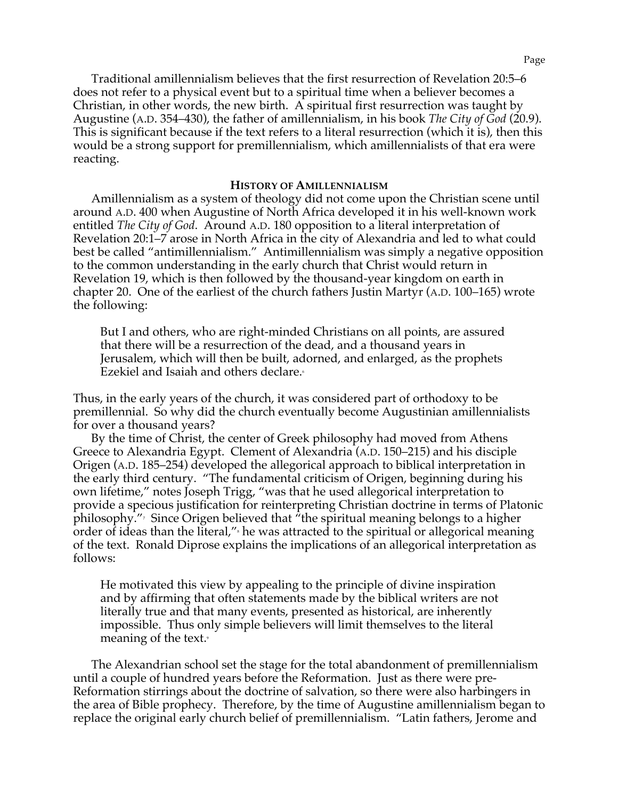Traditional amillennialism believes that the first resurrection of Revelation 20:5–6 does not refer to a physical event but to a spiritual time when a believer becomes a Christian, in other words, the new birth. A spiritual first resurrection was taught by Augustine (A.D. 354–430), the father of amillennialism, in his book *The City of God* (20.9). This is significant because if the text refers to a literal resurrection (which it is), then this would be a strong support for premillennialism, which amillennialists of that era were reacting.

#### **HISTORY OF AMILLENNIALISM**

Amillennialism as a system of theology did not come upon the Christian scene until around A.D. 400 when Augustine of North Africa developed it in his well-known work entitled *The City of God*. Around A.D. 180 opposition to a literal interpretation of Revelation 20:1–7 arose in North Africa in the city of Alexandria and led to what could best be called "antimillennialism." Antimillennialism was simply a negative opposition to the common understanding in the early church that Christ would return in Revelation 19, which is then followed by the thousand-year kingdom on earth in chapter 20. One of the earliest of the church fathers Justin Martyr (A.D. 100–165) wrote the following:

But I and others, who are right-minded Christians on all points, are assured that there will be a resurrection of the dead, and a thousand years in Jerusalem, which will then be built, adorned, and enlarged, as the prophets Ezekiel and Isaiah and others declare.<sup>6</sup>

Thus, in the early years of the church, it was considered part of orthodoxy to be premillennial. So why did the church eventually become Augustinian amillennialists for over a thousand years?

By the time of Christ, the center of Greek philosophy had moved from Athens Greece to Alexandria Egypt. Clement of Alexandria (A.D. 150–215) and his disciple Origen (A.D. 185–254) developed the allegorical approach to biblical interpretation in the early third century. "The fundamental criticism of Origen, beginning during his own lifetime," notes Joseph Trigg, "was that he used allegorical interpretation to provide a specious justification for reinterpreting Christian doctrine in terms of Platonic philosophy."7 Since Origen believed that "the spiritual meaning belongs to a higher order of ideas than the literal," he was attracted to the spiritual or allegorical meaning of the text. Ronald Diprose explains the implications of an allegorical interpretation as follows:

He motivated this view by appealing to the principle of divine inspiration and by affirming that often statements made by the biblical writers are not literally true and that many events, presented as historical, are inherently impossible. Thus only simple believers will limit themselves to the literal meaning of the text.

The Alexandrian school set the stage for the total abandonment of premillennialism until a couple of hundred years before the Reformation. Just as there were pre-Reformation stirrings about the doctrine of salvation, so there were also harbingers in the area of Bible prophecy. Therefore, by the time of Augustine amillennialism began to replace the original early church belief of premillennialism. "Latin fathers, Jerome and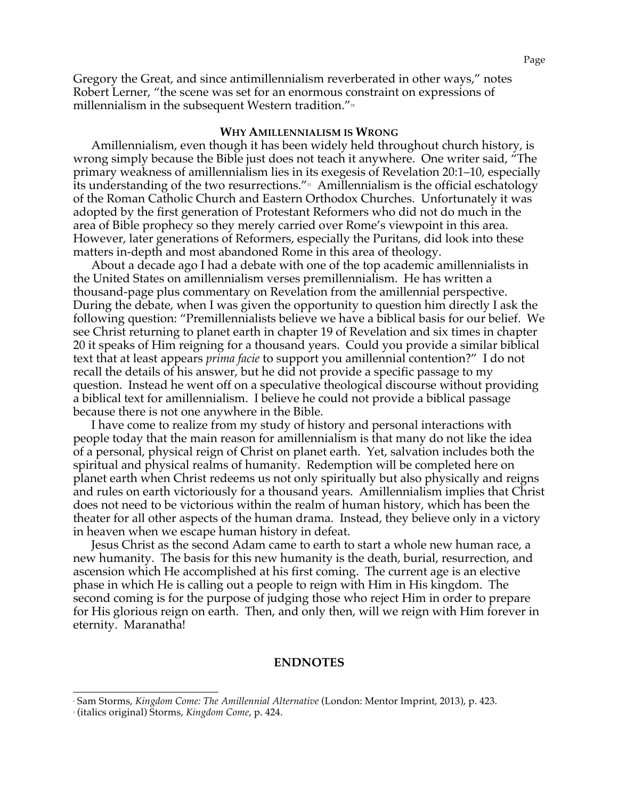Gregory the Great, and since antimillennialism reverberated in other ways," notes Robert Lerner, "the scene was set for an enormous constraint on expressions of millennialism in the subsequent Western tradition."<sup>10</sup>

### **WHY AMILLENNIALISM IS WRONG**

Amillennialism, even though it has been widely held throughout church history, is wrong simply because the Bible just does not teach it anywhere. One writer said, "The primary weakness of amillennialism lies in its exegesis of Revelation 20:1–10, especially its understanding of the two resurrections." $\frac{1}{11}$  Amillennialism is the official eschatology of the Roman Catholic Church and Eastern Orthodox Churches. Unfortunately it was adopted by the first generation of Protestant Reformers who did not do much in the area of Bible prophecy so they merely carried over Rome's viewpoint in this area. However, later generations of Reformers, especially the Puritans, did look into these matters in-depth and most abandoned Rome in this area of theology.

About a decade ago I had a debate with one of the top academic amillennialists in the United States on amillennialism verses premillennialism. He has written a thousand-page plus commentary on Revelation from the amillennial perspective. During the debate, when I was given the opportunity to question him directly I ask the following question: "Premillennialists believe we have a biblical basis for our belief. We see Christ returning to planet earth in chapter 19 of Revelation and six times in chapter 20 it speaks of Him reigning for a thousand years. Could you provide a similar biblical text that at least appears *prima facie* to support you amillennial contention?" I do not recall the details of his answer, but he did not provide a specific passage to my question. Instead he went off on a speculative theological discourse without providing a biblical text for amillennialism. I believe he could not provide a biblical passage because there is not one anywhere in the Bible.

I have come to realize from my study of history and personal interactions with people today that the main reason for amillennialism is that many do not like the idea of a personal, physical reign of Christ on planet earth. Yet, salvation includes both the spiritual and physical realms of humanity. Redemption will be completed here on planet earth when Christ redeems us not only spiritually but also physically and reigns and rules on earth victoriously for a thousand years. Amillennialism implies that Christ does not need to be victorious within the realm of human history, which has been the theater for all other aspects of the human drama. Instead, they believe only in a victory in heaven when we escape human history in defeat.

Jesus Christ as the second Adam came to earth to start a whole new human race, a new humanity. The basis for this new humanity is the death, burial, resurrection, and ascension which He accomplished at his first coming. The current age is an elective phase in which He is calling out a people to reign with Him in His kingdom. The second coming is for the purpose of judging those who reject Him in order to prepare for His glorious reign on earth. Then, and only then, will we reign with Him forever in eternity. Maranatha!

#### **ENDNOTES**

 <sup>1</sup> Sam Storms, *Kingdom Come: The Amillennial Alternative* (London: Mentor Imprint, 2013), p. 423.

<sup>2</sup> (italics original) Storms, *Kingdom Come*, p. 424.